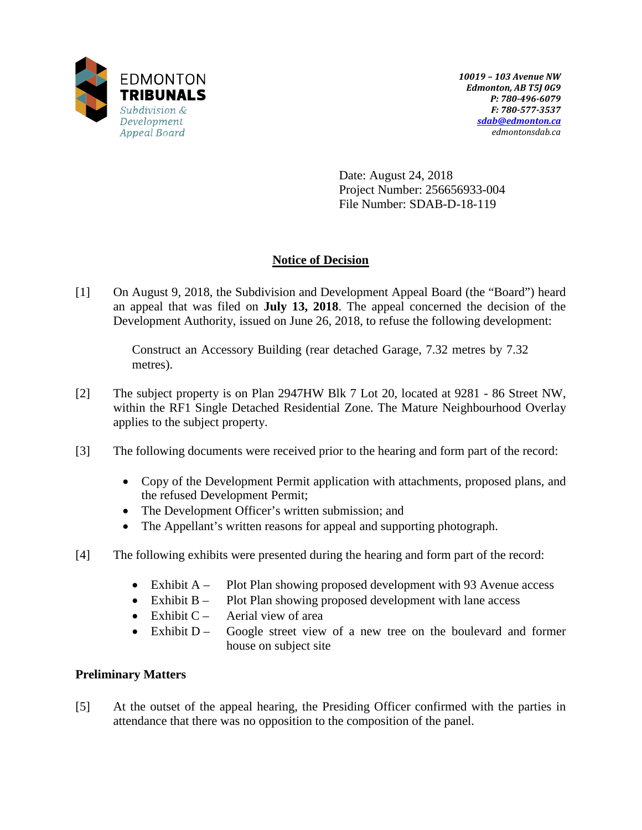

Date: August 24, 2018 Project Number: 256656933-004 File Number: SDAB-D-18-119

# **Notice of Decision**

[1] On August 9, 2018, the Subdivision and Development Appeal Board (the "Board") heard an appeal that was filed on **July 13, 2018**. The appeal concerned the decision of the Development Authority, issued on June 26, 2018, to refuse the following development:

> Construct an Accessory Building (rear detached Garage, 7.32 metres by 7.32 metres).

- [2] The subject property is on Plan 2947HW Blk 7 Lot 20, located at 9281 86 Street NW, within the RF1 Single Detached Residential Zone. The Mature Neighbourhood Overlay applies to the subject property.
- [3] The following documents were received prior to the hearing and form part of the record:
	- Copy of the Development Permit application with attachments, proposed plans, and the refused Development Permit;
	- The Development Officer's written submission; and
	- The Appellant's written reasons for appeal and supporting photograph.
- [4] The following exhibits were presented during the hearing and form part of the record:
	- Exhibit A Plot Plan showing proposed development with 93 Avenue access
	- Exhibit B Plot Plan showing proposed development with lane access
	- Exhibit  $C -$  Aerial view of area
	- Exhibit  $D -$  Google street view of a new tree on the boulevard and former house on subject site

## **Preliminary Matters**

[5] At the outset of the appeal hearing, the Presiding Officer confirmed with the parties in attendance that there was no opposition to the composition of the panel.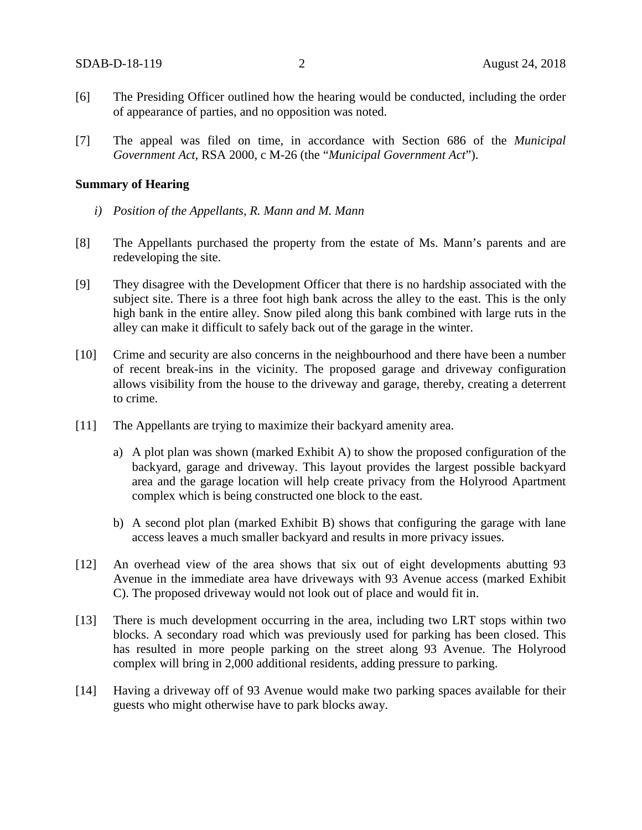- [6] The Presiding Officer outlined how the hearing would be conducted, including the order of appearance of parties, and no opposition was noted.
- [7] The appeal was filed on time, in accordance with Section 686 of the *Municipal Government Act*, RSA 2000, c M-26 (the "*Municipal Government Act*").

### **Summary of Hearing**

- *i) Position of the Appellants, R. Mann and M. Mann*
- [8] The Appellants purchased the property from the estate of Ms. Mann's parents and are redeveloping the site.
- [9] They disagree with the Development Officer that there is no hardship associated with the subject site. There is a three foot high bank across the alley to the east. This is the only high bank in the entire alley. Snow piled along this bank combined with large ruts in the alley can make it difficult to safely back out of the garage in the winter.
- [10] Crime and security are also concerns in the neighbourhood and there have been a number of recent break-ins in the vicinity. The proposed garage and driveway configuration allows visibility from the house to the driveway and garage, thereby, creating a deterrent to crime.
- [11] The Appellants are trying to maximize their backyard amenity area.
	- a) A plot plan was shown (marked Exhibit A) to show the proposed configuration of the backyard, garage and driveway. This layout provides the largest possible backyard area and the garage location will help create privacy from the Holyrood Apartment complex which is being constructed one block to the east.
	- b) A second plot plan (marked Exhibit B) shows that configuring the garage with lane access leaves a much smaller backyard and results in more privacy issues.
- [12] An overhead view of the area shows that six out of eight developments abutting 93 Avenue in the immediate area have driveways with 93 Avenue access (marked Exhibit C). The proposed driveway would not look out of place and would fit in.
- [13] There is much development occurring in the area, including two LRT stops within two blocks. A secondary road which was previously used for parking has been closed. This has resulted in more people parking on the street along 93 Avenue. The Holyrood complex will bring in 2,000 additional residents, adding pressure to parking.
- [14] Having a driveway off of 93 Avenue would make two parking spaces available for their guests who might otherwise have to park blocks away.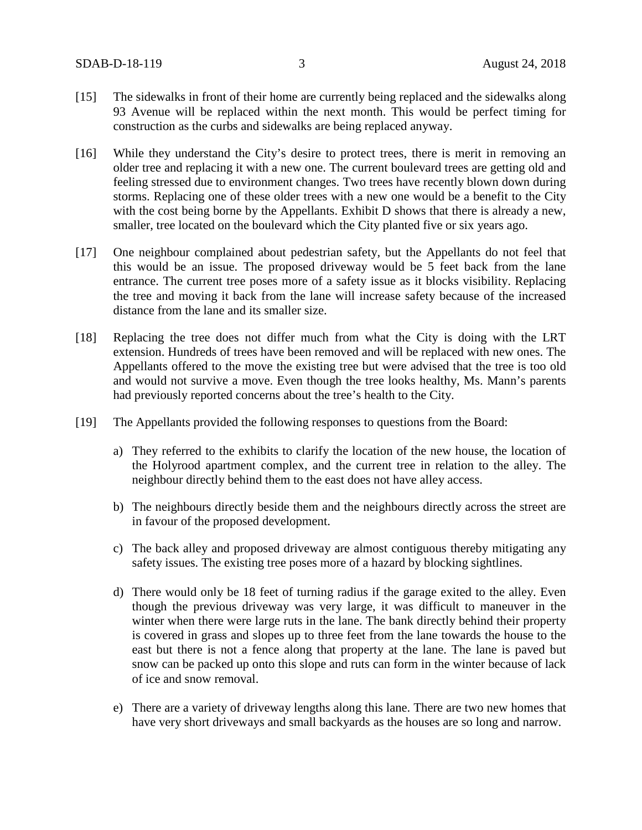- [15] The sidewalks in front of their home are currently being replaced and the sidewalks along 93 Avenue will be replaced within the next month. This would be perfect timing for construction as the curbs and sidewalks are being replaced anyway.
- [16] While they understand the City's desire to protect trees, there is merit in removing an older tree and replacing it with a new one. The current boulevard trees are getting old and feeling stressed due to environment changes. Two trees have recently blown down during storms. Replacing one of these older trees with a new one would be a benefit to the City with the cost being borne by the Appellants. Exhibit D shows that there is already a new, smaller, tree located on the boulevard which the City planted five or six years ago.
- [17] One neighbour complained about pedestrian safety, but the Appellants do not feel that this would be an issue. The proposed driveway would be 5 feet back from the lane entrance. The current tree poses more of a safety issue as it blocks visibility. Replacing the tree and moving it back from the lane will increase safety because of the increased distance from the lane and its smaller size.
- [18] Replacing the tree does not differ much from what the City is doing with the LRT extension. Hundreds of trees have been removed and will be replaced with new ones. The Appellants offered to the move the existing tree but were advised that the tree is too old and would not survive a move. Even though the tree looks healthy, Ms. Mann's parents had previously reported concerns about the tree's health to the City.
- [19] The Appellants provided the following responses to questions from the Board:
	- a) They referred to the exhibits to clarify the location of the new house, the location of the Holyrood apartment complex, and the current tree in relation to the alley. The neighbour directly behind them to the east does not have alley access.
	- b) The neighbours directly beside them and the neighbours directly across the street are in favour of the proposed development.
	- c) The back alley and proposed driveway are almost contiguous thereby mitigating any safety issues. The existing tree poses more of a hazard by blocking sightlines.
	- d) There would only be 18 feet of turning radius if the garage exited to the alley. Even though the previous driveway was very large, it was difficult to maneuver in the winter when there were large ruts in the lane. The bank directly behind their property is covered in grass and slopes up to three feet from the lane towards the house to the east but there is not a fence along that property at the lane. The lane is paved but snow can be packed up onto this slope and ruts can form in the winter because of lack of ice and snow removal.
	- e) There are a variety of driveway lengths along this lane. There are two new homes that have very short driveways and small backyards as the houses are so long and narrow.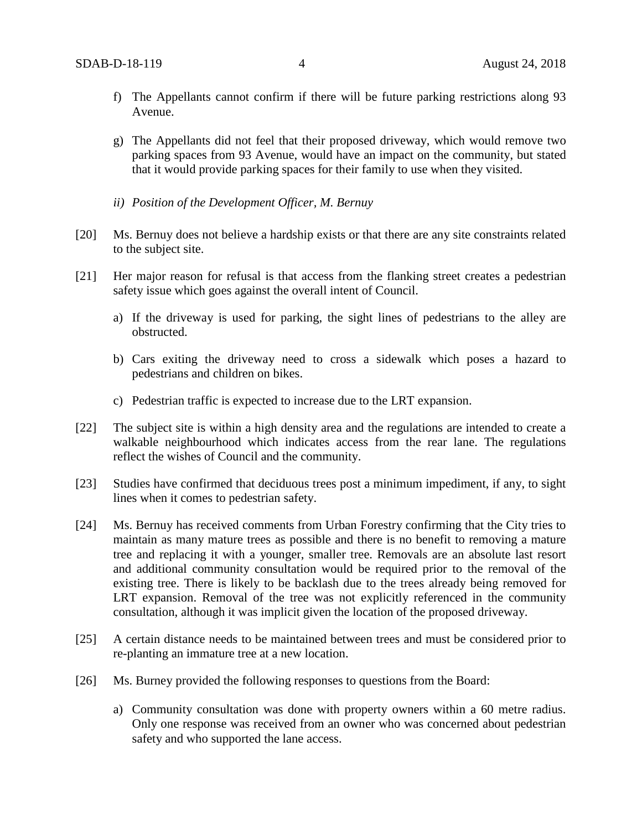- f) The Appellants cannot confirm if there will be future parking restrictions along 93 Avenue.
- g) The Appellants did not feel that their proposed driveway, which would remove two parking spaces from 93 Avenue, would have an impact on the community, but stated that it would provide parking spaces for their family to use when they visited.
- *ii) Position of the Development Officer, M. Bernuy*
- [20] Ms. Bernuy does not believe a hardship exists or that there are any site constraints related to the subject site.
- [21] Her major reason for refusal is that access from the flanking street creates a pedestrian safety issue which goes against the overall intent of Council.
	- a) If the driveway is used for parking, the sight lines of pedestrians to the alley are obstructed.
	- b) Cars exiting the driveway need to cross a sidewalk which poses a hazard to pedestrians and children on bikes.
	- c) Pedestrian traffic is expected to increase due to the LRT expansion.
- [22] The subject site is within a high density area and the regulations are intended to create a walkable neighbourhood which indicates access from the rear lane. The regulations reflect the wishes of Council and the community.
- [23] Studies have confirmed that deciduous trees post a minimum impediment, if any, to sight lines when it comes to pedestrian safety.
- [24] Ms. Bernuy has received comments from Urban Forestry confirming that the City tries to maintain as many mature trees as possible and there is no benefit to removing a mature tree and replacing it with a younger, smaller tree. Removals are an absolute last resort and additional community consultation would be required prior to the removal of the existing tree. There is likely to be backlash due to the trees already being removed for LRT expansion. Removal of the tree was not explicitly referenced in the community consultation, although it was implicit given the location of the proposed driveway.
- [25] A certain distance needs to be maintained between trees and must be considered prior to re-planting an immature tree at a new location.
- [26] Ms. Burney provided the following responses to questions from the Board:
	- a) Community consultation was done with property owners within a 60 metre radius. Only one response was received from an owner who was concerned about pedestrian safety and who supported the lane access.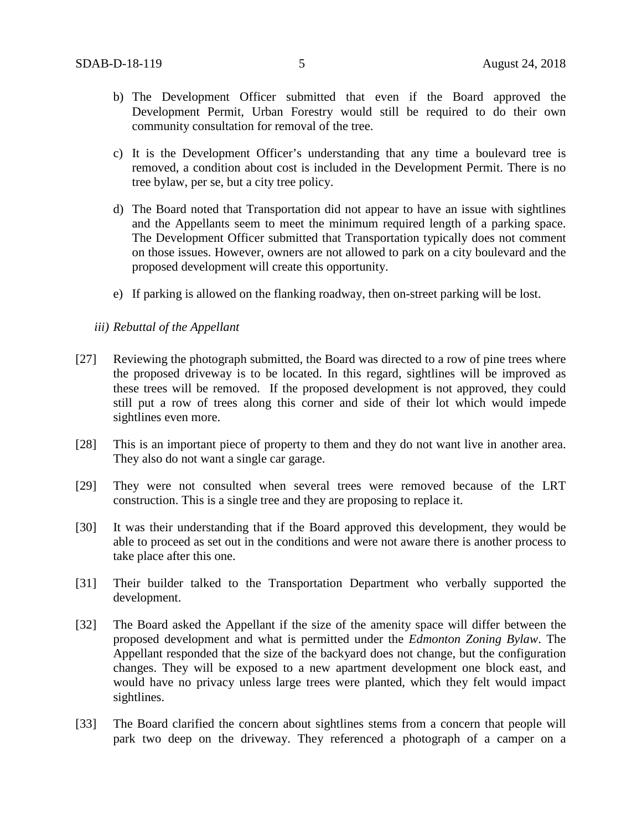- b) The Development Officer submitted that even if the Board approved the Development Permit, Urban Forestry would still be required to do their own community consultation for removal of the tree.
- c) It is the Development Officer's understanding that any time a boulevard tree is removed, a condition about cost is included in the Development Permit. There is no tree bylaw, per se, but a city tree policy.
- d) The Board noted that Transportation did not appear to have an issue with sightlines and the Appellants seem to meet the minimum required length of a parking space. The Development Officer submitted that Transportation typically does not comment on those issues. However, owners are not allowed to park on a city boulevard and the proposed development will create this opportunity.
- e) If parking is allowed on the flanking roadway, then on-street parking will be lost.
- *iii) Rebuttal of the Appellant*
- [27] Reviewing the photograph submitted, the Board was directed to a row of pine trees where the proposed driveway is to be located. In this regard, sightlines will be improved as these trees will be removed. If the proposed development is not approved, they could still put a row of trees along this corner and side of their lot which would impede sightlines even more.
- [28] This is an important piece of property to them and they do not want live in another area. They also do not want a single car garage.
- [29] They were not consulted when several trees were removed because of the LRT construction. This is a single tree and they are proposing to replace it.
- [30] It was their understanding that if the Board approved this development, they would be able to proceed as set out in the conditions and were not aware there is another process to take place after this one.
- [31] Their builder talked to the Transportation Department who verbally supported the development.
- [32] The Board asked the Appellant if the size of the amenity space will differ between the proposed development and what is permitted under the *Edmonton Zoning Bylaw*. The Appellant responded that the size of the backyard does not change, but the configuration changes. They will be exposed to a new apartment development one block east, and would have no privacy unless large trees were planted, which they felt would impact sightlines.
- [33] The Board clarified the concern about sightlines stems from a concern that people will park two deep on the driveway. They referenced a photograph of a camper on a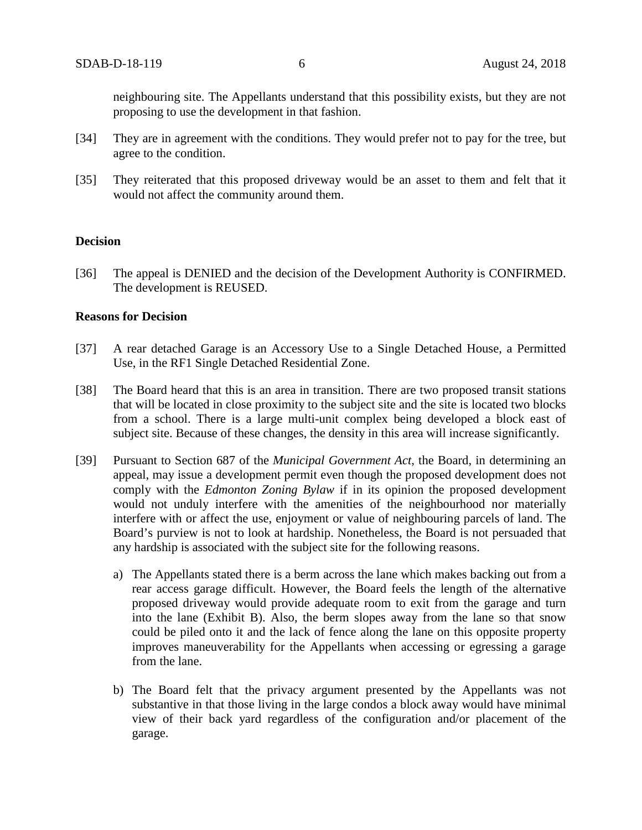neighbouring site. The Appellants understand that this possibility exists, but they are not proposing to use the development in that fashion.

- [34] They are in agreement with the conditions. They would prefer not to pay for the tree, but agree to the condition.
- [35] They reiterated that this proposed driveway would be an asset to them and felt that it would not affect the community around them.

#### **Decision**

[36] The appeal is DENIED and the decision of the Development Authority is CONFIRMED. The development is REUSED.

#### **Reasons for Decision**

- [37] A rear detached Garage is an Accessory Use to a Single Detached House, a Permitted Use, in the RF1 Single Detached Residential Zone.
- [38] The Board heard that this is an area in transition. There are two proposed transit stations that will be located in close proximity to the subject site and the site is located two blocks from a school. There is a large multi-unit complex being developed a block east of subject site. Because of these changes, the density in this area will increase significantly.
- [39] Pursuant to Section 687 of the *Municipal Government Act*, the Board, in determining an appeal, may issue a development permit even though the proposed development does not comply with the *Edmonton Zoning Bylaw* if in its opinion the proposed development would not unduly interfere with the amenities of the neighbourhood nor materially interfere with or affect the use, enjoyment or value of neighbouring parcels of land. The Board's purview is not to look at hardship. Nonetheless, the Board is not persuaded that any hardship is associated with the subject site for the following reasons.
	- a) The Appellants stated there is a berm across the lane which makes backing out from a rear access garage difficult. However, the Board feels the length of the alternative proposed driveway would provide adequate room to exit from the garage and turn into the lane (Exhibit B). Also, the berm slopes away from the lane so that snow could be piled onto it and the lack of fence along the lane on this opposite property improves maneuverability for the Appellants when accessing or egressing a garage from the lane.
	- b) The Board felt that the privacy argument presented by the Appellants was not substantive in that those living in the large condos a block away would have minimal view of their back yard regardless of the configuration and/or placement of the garage.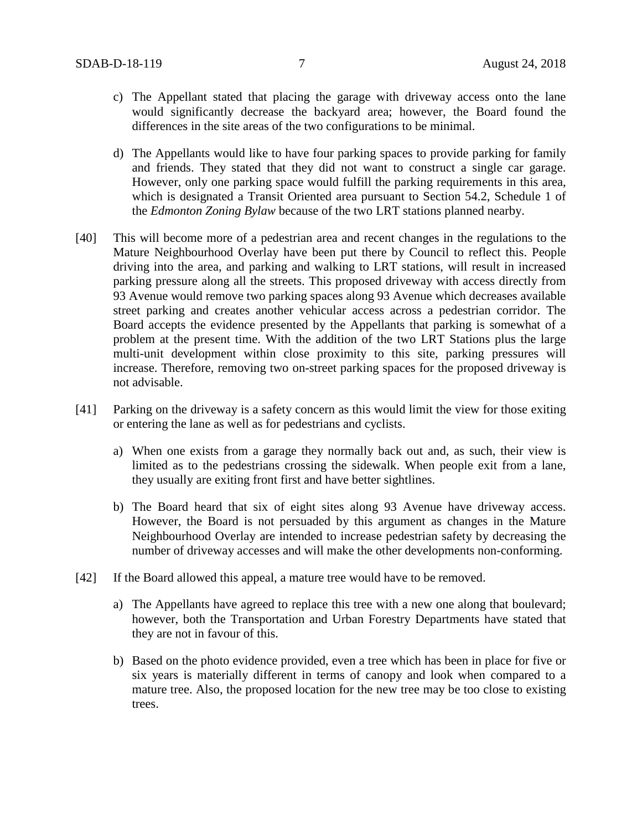- c) The Appellant stated that placing the garage with driveway access onto the lane would significantly decrease the backyard area; however, the Board found the differences in the site areas of the two configurations to be minimal.
- d) The Appellants would like to have four parking spaces to provide parking for family and friends. They stated that they did not want to construct a single car garage. However, only one parking space would fulfill the parking requirements in this area, which is designated a Transit Oriented area pursuant to Section 54.2, Schedule 1 of the *Edmonton Zoning Bylaw* because of the two LRT stations planned nearby.
- [40] This will become more of a pedestrian area and recent changes in the regulations to the Mature Neighbourhood Overlay have been put there by Council to reflect this. People driving into the area, and parking and walking to LRT stations, will result in increased parking pressure along all the streets. This proposed driveway with access directly from 93 Avenue would remove two parking spaces along 93 Avenue which decreases available street parking and creates another vehicular access across a pedestrian corridor. The Board accepts the evidence presented by the Appellants that parking is somewhat of a problem at the present time. With the addition of the two LRT Stations plus the large multi-unit development within close proximity to this site, parking pressures will increase. Therefore, removing two on-street parking spaces for the proposed driveway is not advisable.
- [41] Parking on the driveway is a safety concern as this would limit the view for those exiting or entering the lane as well as for pedestrians and cyclists.
	- a) When one exists from a garage they normally back out and, as such, their view is limited as to the pedestrians crossing the sidewalk. When people exit from a lane, they usually are exiting front first and have better sightlines.
	- b) The Board heard that six of eight sites along 93 Avenue have driveway access. However, the Board is not persuaded by this argument as changes in the Mature Neighbourhood Overlay are intended to increase pedestrian safety by decreasing the number of driveway accesses and will make the other developments non-conforming.
- [42] If the Board allowed this appeal, a mature tree would have to be removed.
	- a) The Appellants have agreed to replace this tree with a new one along that boulevard; however, both the Transportation and Urban Forestry Departments have stated that they are not in favour of this.
	- b) Based on the photo evidence provided, even a tree which has been in place for five or six years is materially different in terms of canopy and look when compared to a mature tree. Also, the proposed location for the new tree may be too close to existing trees.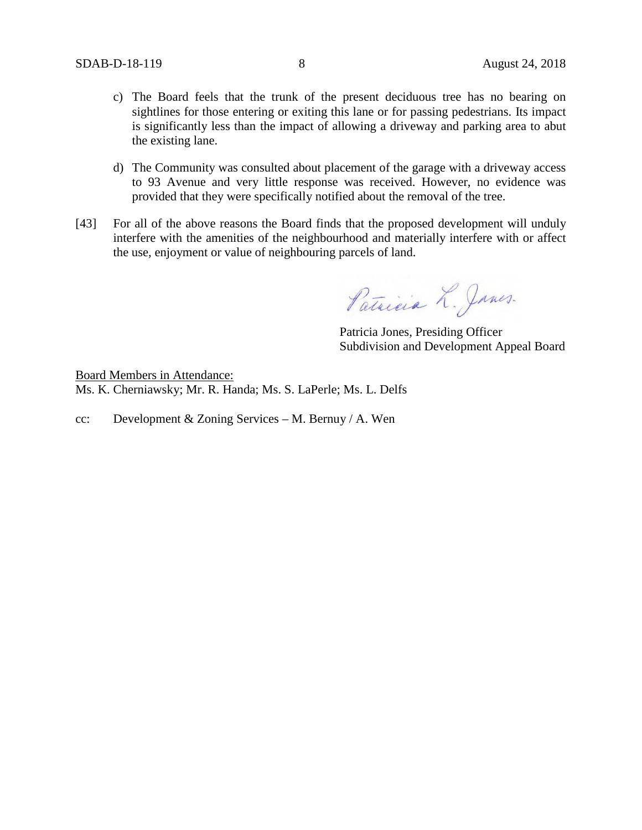- c) The Board feels that the trunk of the present deciduous tree has no bearing on sightlines for those entering or exiting this lane or for passing pedestrians. Its impact is significantly less than the impact of allowing a driveway and parking area to abut the existing lane.
- d) The Community was consulted about placement of the garage with a driveway access to 93 Avenue and very little response was received. However, no evidence was provided that they were specifically notified about the removal of the tree.
- [43] For all of the above reasons the Board finds that the proposed development will unduly interfere with the amenities of the neighbourhood and materially interfere with or affect the use, enjoyment or value of neighbouring parcels of land.

Patricia L. Janes.

Patricia Jones, Presiding Officer Subdivision and Development Appeal Board

Board Members in Attendance: Ms. K. Cherniawsky; Mr. R. Handa; Ms. S. LaPerle; Ms. L. Delfs

cc: Development & Zoning Services – M. Bernuy / A. Wen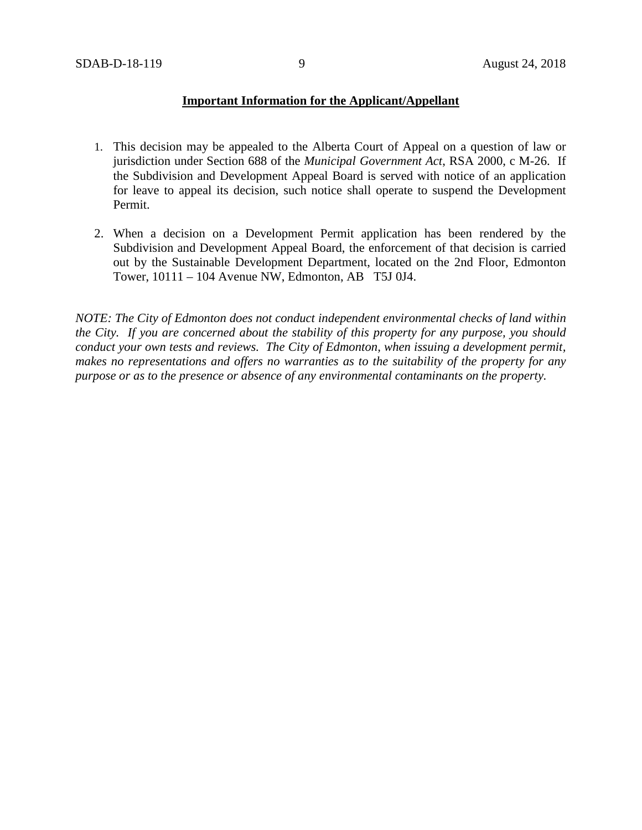### **Important Information for the Applicant/Appellant**

- 1. This decision may be appealed to the Alberta Court of Appeal on a question of law or jurisdiction under Section 688 of the *Municipal Government Act*, RSA 2000, c M-26. If the Subdivision and Development Appeal Board is served with notice of an application for leave to appeal its decision, such notice shall operate to suspend the Development Permit.
- 2. When a decision on a Development Permit application has been rendered by the Subdivision and Development Appeal Board, the enforcement of that decision is carried out by the Sustainable Development Department, located on the 2nd Floor, Edmonton Tower, 10111 – 104 Avenue NW, Edmonton, AB T5J 0J4.

*NOTE: The City of Edmonton does not conduct independent environmental checks of land within the City. If you are concerned about the stability of this property for any purpose, you should conduct your own tests and reviews. The City of Edmonton, when issuing a development permit, makes no representations and offers no warranties as to the suitability of the property for any purpose or as to the presence or absence of any environmental contaminants on the property.*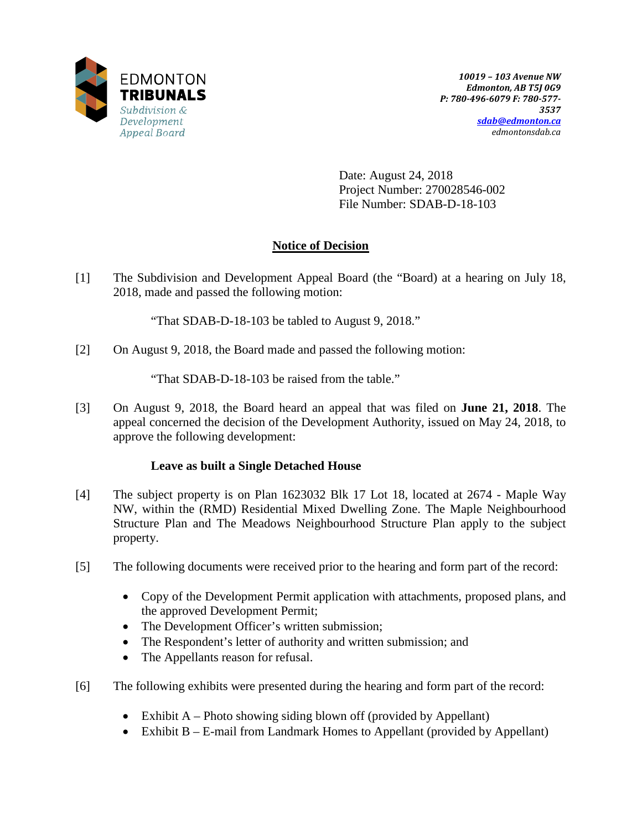

Date: August 24, 2018 Project Number: 270028546-002 File Number: SDAB-D-18-103

# **Notice of Decision**

[1] The Subdivision and Development Appeal Board (the "Board) at a hearing on July 18, 2018, made and passed the following motion:

"That SDAB-D-18-103 be tabled to August 9, 2018."

[2] On August 9, 2018, the Board made and passed the following motion:

"That SDAB-D-18-103 be raised from the table."

[3] On August 9, 2018, the Board heard an appeal that was filed on **June 21, 2018**. The appeal concerned the decision of the Development Authority, issued on May 24, 2018, to approve the following development:

### **Leave as built a Single Detached House**

- [4] The subject property is on Plan 1623032 Blk 17 Lot 18, located at 2674 Maple Way NW, within the (RMD) Residential Mixed Dwelling Zone. The Maple Neighbourhood Structure Plan and The Meadows Neighbourhood Structure Plan apply to the subject property.
- [5] The following documents were received prior to the hearing and form part of the record:
	- Copy of the Development Permit application with attachments, proposed plans, and the approved Development Permit;
	- The Development Officer's written submission;
	- The Respondent's letter of authority and written submission; and
	- The Appellants reason for refusal.
- [6] The following exhibits were presented during the hearing and form part of the record:
	- Exhibit  $A$  Photo showing siding blown off (provided by Appellant)
	- Exhibit B E-mail from Landmark Homes to Appellant (provided by Appellant)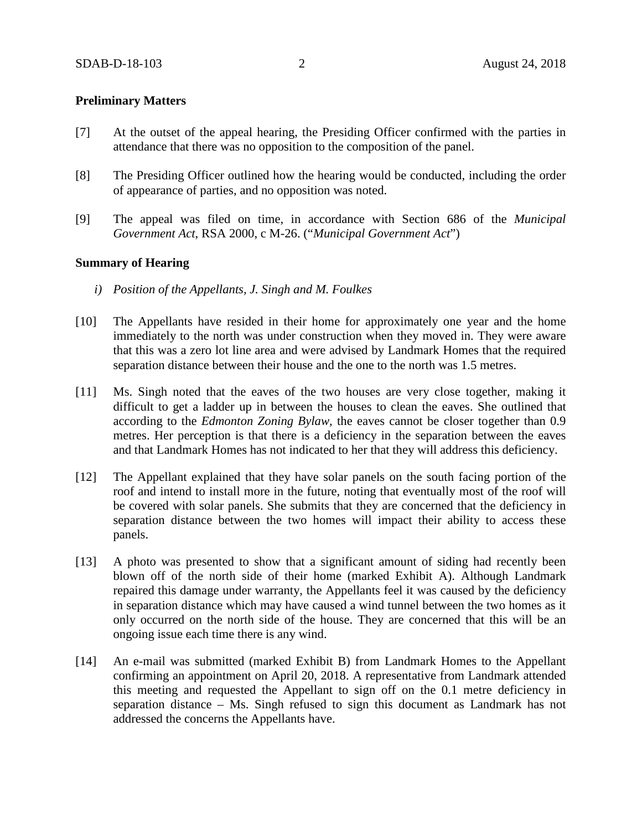### **Preliminary Matters**

- [7] At the outset of the appeal hearing, the Presiding Officer confirmed with the parties in attendance that there was no opposition to the composition of the panel.
- [8] The Presiding Officer outlined how the hearing would be conducted, including the order of appearance of parties, and no opposition was noted.
- [9] The appeal was filed on time, in accordance with Section 686 of the *Municipal Government Act*, RSA 2000, c M-26. ("*Municipal Government Act*")

### **Summary of Hearing**

- *i) Position of the Appellants, J. Singh and M. Foulkes*
- [10] The Appellants have resided in their home for approximately one year and the home immediately to the north was under construction when they moved in. They were aware that this was a zero lot line area and were advised by Landmark Homes that the required separation distance between their house and the one to the north was 1.5 metres.
- [11] Ms. Singh noted that the eaves of the two houses are very close together, making it difficult to get a ladder up in between the houses to clean the eaves. She outlined that according to the *Edmonton Zoning Bylaw,* the eaves cannot be closer together than 0.9 metres. Her perception is that there is a deficiency in the separation between the eaves and that Landmark Homes has not indicated to her that they will address this deficiency.
- [12] The Appellant explained that they have solar panels on the south facing portion of the roof and intend to install more in the future, noting that eventually most of the roof will be covered with solar panels. She submits that they are concerned that the deficiency in separation distance between the two homes will impact their ability to access these panels.
- [13] A photo was presented to show that a significant amount of siding had recently been blown off of the north side of their home (marked Exhibit A). Although Landmark repaired this damage under warranty, the Appellants feel it was caused by the deficiency in separation distance which may have caused a wind tunnel between the two homes as it only occurred on the north side of the house. They are concerned that this will be an ongoing issue each time there is any wind.
- [14] An e-mail was submitted (marked Exhibit B) from Landmark Homes to the Appellant confirming an appointment on April 20, 2018. A representative from Landmark attended this meeting and requested the Appellant to sign off on the 0.1 metre deficiency in separation distance – Ms. Singh refused to sign this document as Landmark has not addressed the concerns the Appellants have.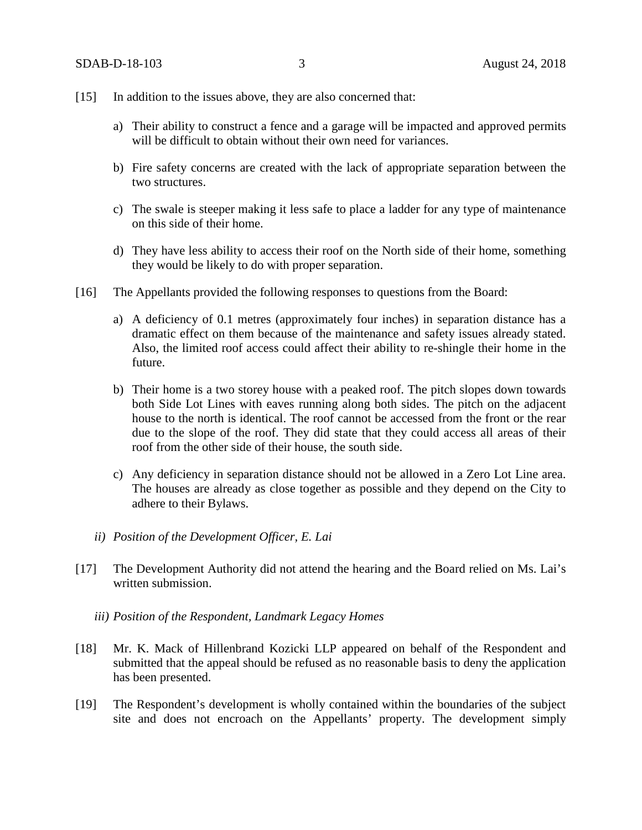- [15] In addition to the issues above, they are also concerned that:
	- a) Their ability to construct a fence and a garage will be impacted and approved permits will be difficult to obtain without their own need for variances.
	- b) Fire safety concerns are created with the lack of appropriate separation between the two structures.
	- c) The swale is steeper making it less safe to place a ladder for any type of maintenance on this side of their home.
	- d) They have less ability to access their roof on the North side of their home, something they would be likely to do with proper separation.
- [16] The Appellants provided the following responses to questions from the Board:
	- a) A deficiency of 0.1 metres (approximately four inches) in separation distance has a dramatic effect on them because of the maintenance and safety issues already stated. Also, the limited roof access could affect their ability to re-shingle their home in the future.
	- b) Their home is a two storey house with a peaked roof. The pitch slopes down towards both Side Lot Lines with eaves running along both sides. The pitch on the adjacent house to the north is identical. The roof cannot be accessed from the front or the rear due to the slope of the roof. They did state that they could access all areas of their roof from the other side of their house, the south side.
	- c) Any deficiency in separation distance should not be allowed in a Zero Lot Line area. The houses are already as close together as possible and they depend on the City to adhere to their Bylaws.
	- *ii) Position of the Development Officer, E. Lai*
- [17] The Development Authority did not attend the hearing and the Board relied on Ms. Lai's written submission.
	- *iii) Position of the Respondent, Landmark Legacy Homes*
- [18] Mr. K. Mack of Hillenbrand Kozicki LLP appeared on behalf of the Respondent and submitted that the appeal should be refused as no reasonable basis to deny the application has been presented.
- [19] The Respondent's development is wholly contained within the boundaries of the subject site and does not encroach on the Appellants' property. The development simply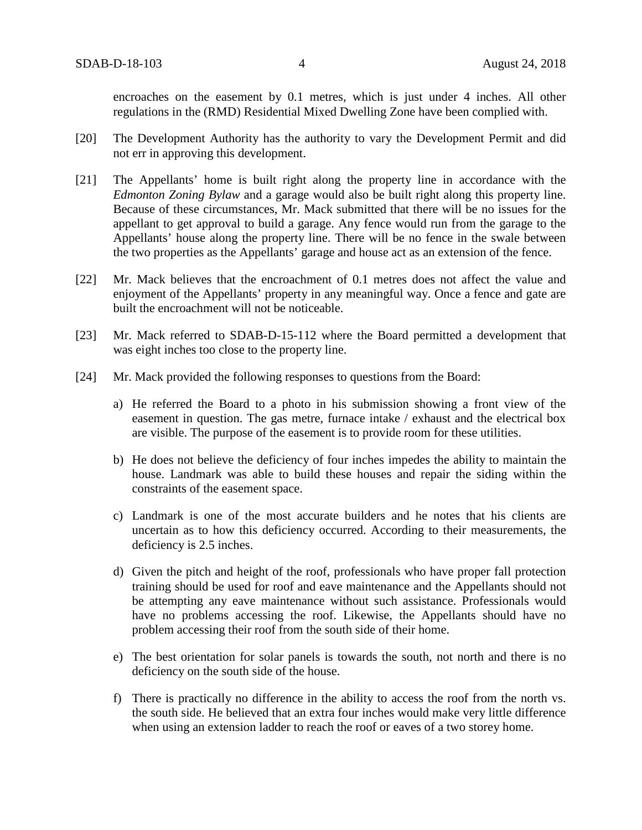encroaches on the easement by 0.1 metres, which is just under 4 inches. All other regulations in the (RMD) Residential Mixed Dwelling Zone have been complied with.

- [20] The Development Authority has the authority to vary the Development Permit and did not err in approving this development.
- [21] The Appellants' home is built right along the property line in accordance with the *Edmonton Zoning Bylaw* and a garage would also be built right along this property line. Because of these circumstances, Mr. Mack submitted that there will be no issues for the appellant to get approval to build a garage. Any fence would run from the garage to the Appellants' house along the property line. There will be no fence in the swale between the two properties as the Appellants' garage and house act as an extension of the fence.
- [22] Mr. Mack believes that the encroachment of 0.1 metres does not affect the value and enjoyment of the Appellants' property in any meaningful way. Once a fence and gate are built the encroachment will not be noticeable.
- [23] Mr. Mack referred to SDAB-D-15-112 where the Board permitted a development that was eight inches too close to the property line.
- [24] Mr. Mack provided the following responses to questions from the Board:
	- a) He referred the Board to a photo in his submission showing a front view of the easement in question. The gas metre, furnace intake / exhaust and the electrical box are visible. The purpose of the easement is to provide room for these utilities.
	- b) He does not believe the deficiency of four inches impedes the ability to maintain the house. Landmark was able to build these houses and repair the siding within the constraints of the easement space.
	- c) Landmark is one of the most accurate builders and he notes that his clients are uncertain as to how this deficiency occurred. According to their measurements, the deficiency is 2.5 inches.
	- d) Given the pitch and height of the roof, professionals who have proper fall protection training should be used for roof and eave maintenance and the Appellants should not be attempting any eave maintenance without such assistance. Professionals would have no problems accessing the roof. Likewise, the Appellants should have no problem accessing their roof from the south side of their home.
	- e) The best orientation for solar panels is towards the south, not north and there is no deficiency on the south side of the house.
	- f) There is practically no difference in the ability to access the roof from the north vs. the south side. He believed that an extra four inches would make very little difference when using an extension ladder to reach the roof or eaves of a two storey home.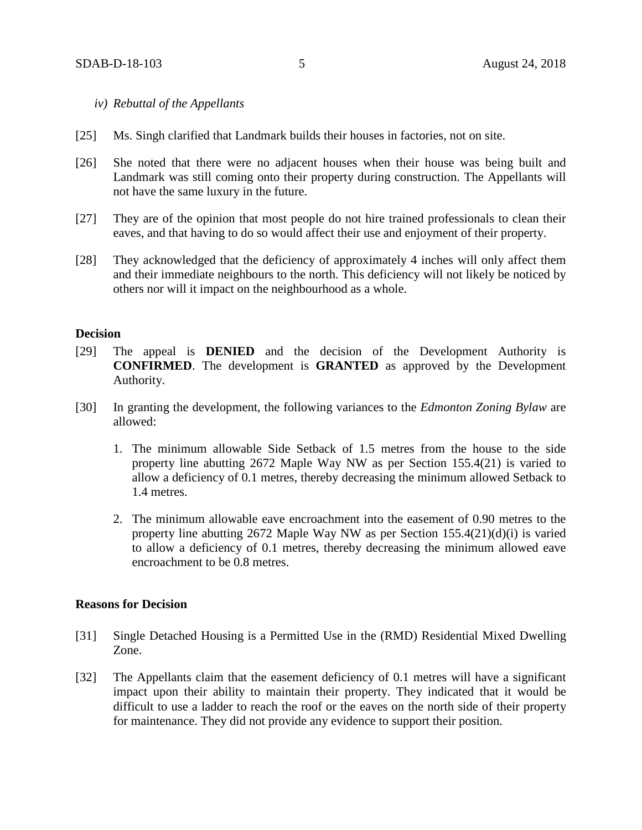- *iv) Rebuttal of the Appellants*
- [25] Ms. Singh clarified that Landmark builds their houses in factories, not on site.
- [26] She noted that there were no adjacent houses when their house was being built and Landmark was still coming onto their property during construction. The Appellants will not have the same luxury in the future.
- [27] They are of the opinion that most people do not hire trained professionals to clean their eaves, and that having to do so would affect their use and enjoyment of their property.
- [28] They acknowledged that the deficiency of approximately 4 inches will only affect them and their immediate neighbours to the north. This deficiency will not likely be noticed by others nor will it impact on the neighbourhood as a whole.

### **Decision**

- [29] The appeal is **DENIED** and the decision of the Development Authority is **CONFIRMED**. The development is **GRANTED** as approved by the Development Authority.
- [30] In granting the development, the following variances to the *Edmonton Zoning Bylaw* are allowed:
	- 1. The minimum allowable Side Setback of 1.5 metres from the house to the side property line abutting 2672 Maple Way NW as per Section 155.4(21) is varied to allow a deficiency of 0.1 metres, thereby decreasing the minimum allowed Setback to 1.4 metres.
	- 2. The minimum allowable eave encroachment into the easement of 0.90 metres to the property line abutting 2672 Maple Way NW as per Section  $155.4(21)(d)(i)$  is varied to allow a deficiency of 0.1 metres, thereby decreasing the minimum allowed eave encroachment to be 0.8 metres.

### **Reasons for Decision**

- [31] Single Detached Housing is a Permitted Use in the (RMD) Residential Mixed Dwelling Zone.
- [32] The Appellants claim that the easement deficiency of 0.1 metres will have a significant impact upon their ability to maintain their property. They indicated that it would be difficult to use a ladder to reach the roof or the eaves on the north side of their property for maintenance. They did not provide any evidence to support their position.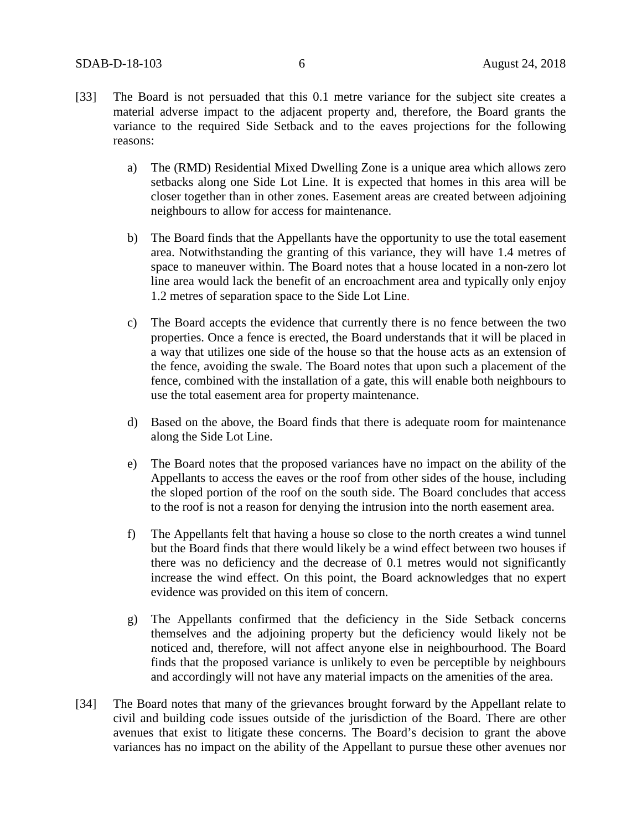- [33] The Board is not persuaded that this 0.1 metre variance for the subject site creates a material adverse impact to the adjacent property and, therefore, the Board grants the variance to the required Side Setback and to the eaves projections for the following reasons:
	- a) The (RMD) Residential Mixed Dwelling Zone is a unique area which allows zero setbacks along one Side Lot Line. It is expected that homes in this area will be closer together than in other zones. Easement areas are created between adjoining neighbours to allow for access for maintenance.
	- b) The Board finds that the Appellants have the opportunity to use the total easement area. Notwithstanding the granting of this variance, they will have 1.4 metres of space to maneuver within. The Board notes that a house located in a non-zero lot line area would lack the benefit of an encroachment area and typically only enjoy 1.2 metres of separation space to the Side Lot Line.
	- c) The Board accepts the evidence that currently there is no fence between the two properties. Once a fence is erected, the Board understands that it will be placed in a way that utilizes one side of the house so that the house acts as an extension of the fence, avoiding the swale. The Board notes that upon such a placement of the fence, combined with the installation of a gate, this will enable both neighbours to use the total easement area for property maintenance.
	- d) Based on the above, the Board finds that there is adequate room for maintenance along the Side Lot Line.
	- e) The Board notes that the proposed variances have no impact on the ability of the Appellants to access the eaves or the roof from other sides of the house, including the sloped portion of the roof on the south side. The Board concludes that access to the roof is not a reason for denying the intrusion into the north easement area.
	- f) The Appellants felt that having a house so close to the north creates a wind tunnel but the Board finds that there would likely be a wind effect between two houses if there was no deficiency and the decrease of 0.1 metres would not significantly increase the wind effect. On this point, the Board acknowledges that no expert evidence was provided on this item of concern.
	- g) The Appellants confirmed that the deficiency in the Side Setback concerns themselves and the adjoining property but the deficiency would likely not be noticed and, therefore, will not affect anyone else in neighbourhood. The Board finds that the proposed variance is unlikely to even be perceptible by neighbours and accordingly will not have any material impacts on the amenities of the area.
- [34] The Board notes that many of the grievances brought forward by the Appellant relate to civil and building code issues outside of the jurisdiction of the Board. There are other avenues that exist to litigate these concerns. The Board's decision to grant the above variances has no impact on the ability of the Appellant to pursue these other avenues nor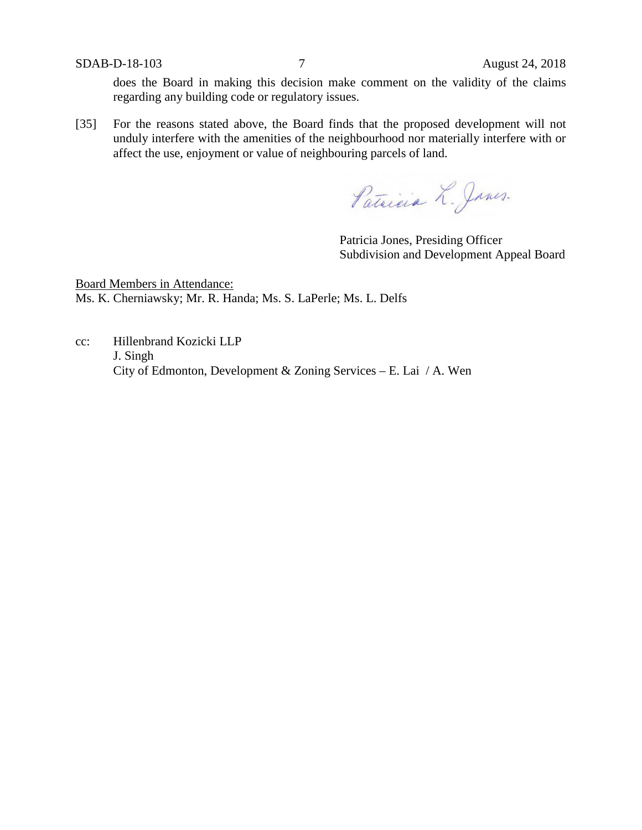SDAB-D-18-103 7 August 24, 2018

does the Board in making this decision make comment on the validity of the claims regarding any building code or regulatory issues.

[35] For the reasons stated above, the Board finds that the proposed development will not unduly interfere with the amenities of the neighbourhood nor materially interfere with or affect the use, enjoyment or value of neighbouring parcels of land.

Patricia L. Janes.

Patricia Jones, Presiding Officer Subdivision and Development Appeal Board

Board Members in Attendance: Ms. K. Cherniawsky; Mr. R. Handa; Ms. S. LaPerle; Ms. L. Delfs

cc: Hillenbrand Kozicki LLP J. Singh City of Edmonton, Development & Zoning Services – E. Lai / A. Wen